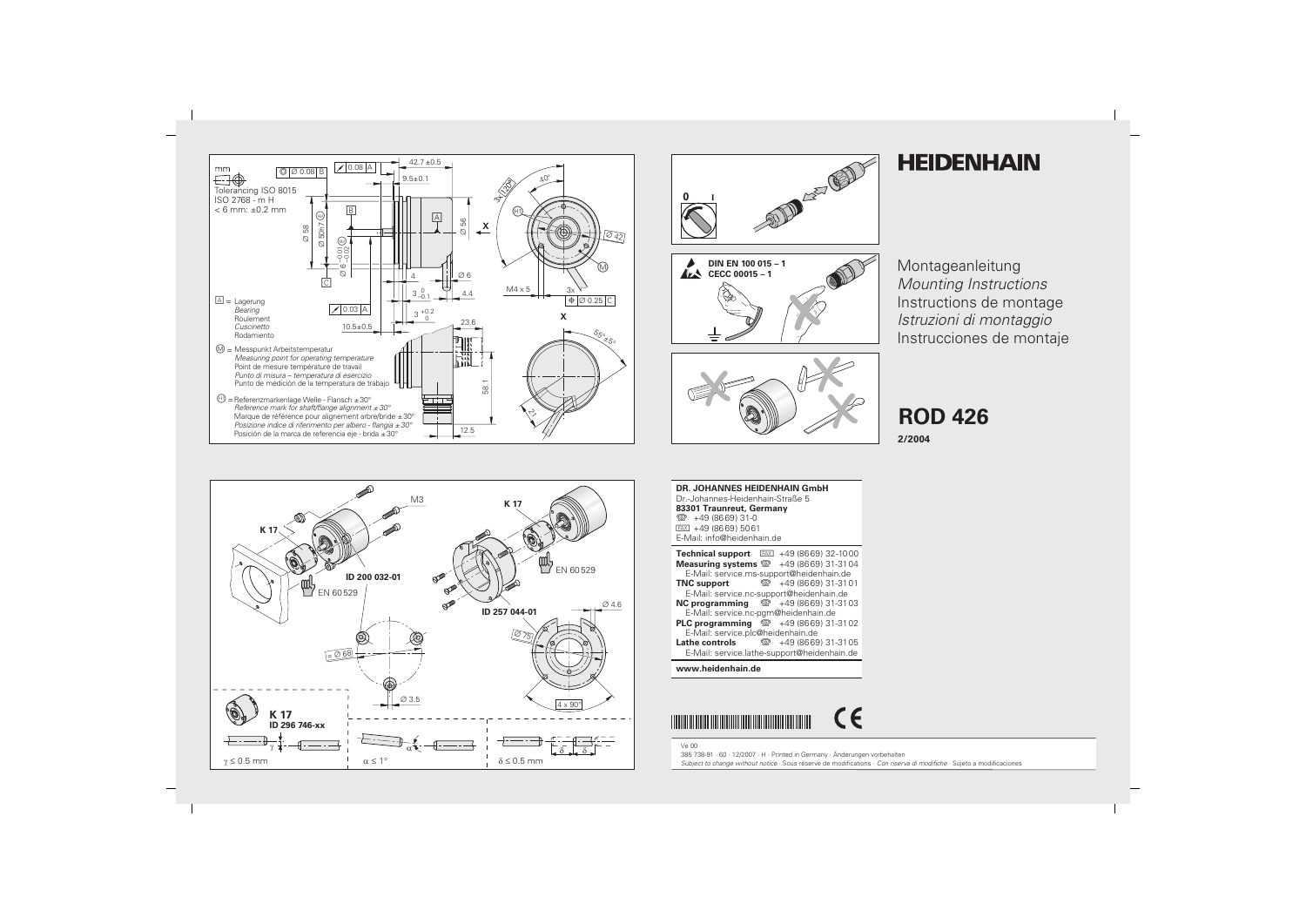



## **HEIDENHAIN**

Montageanleitung **Mounting Instructions** Instructions de montage Istruzioni di montaggio Instrucciones de montaje

**ROD 426** 

2/2004



**DR. JOHANNES HEIDENHAIN GmbH** Dr.-Johannes-Heidenhain-Straße 5 83301 Traunreut, Germany <sup>2</sup> +49 (8669) 31-0  $FAX$  +49 (8669) 5061 E-Mail: info@heidenhain.de

|                                                           |  | <b>Technical support</b> $FAX$ +49 (8669) 32-1000   |
|-----------------------------------------------------------|--|-----------------------------------------------------|
| <b>Measuring systems</b> $\mathbb{Q}$ +49 (8669) 31-3104  |  |                                                     |
| E-Mail: service.ms-support@heidenhain.de                  |  |                                                     |
| <b>TNC support</b>                                        |  | ම +49 (8669) 31-31 01                               |
| E-Mail: service.nc-support@heidenhain.de                  |  |                                                     |
| <b>NC programming</b> $\circledcirc$ +49 (8669) 31-31 03  |  |                                                     |
| E-Mail: service.nc-pgm@heidenhain.de                      |  |                                                     |
| <b>PLC programming</b> $\circledcirc$ +49 (8669) 31-31 02 |  |                                                     |
| E-Mail: service.plc@heidenhain.de                         |  |                                                     |
|                                                           |  | <b>Lathe controls</b> $\circledR + 49(8669)31-3105$ |
|                                                           |  | E-Mail: service.lathe-support@heidenhain.de         |

## www.heidenhain.de



**Ve 00** 385 738-91 · 60 · 12/2007 · H · Printed in Germany · Änderungen vorbehalten

Subject to change without notice · Sous réserve de modifications · Con riserva di modifiche · Sujeto a modificaciones